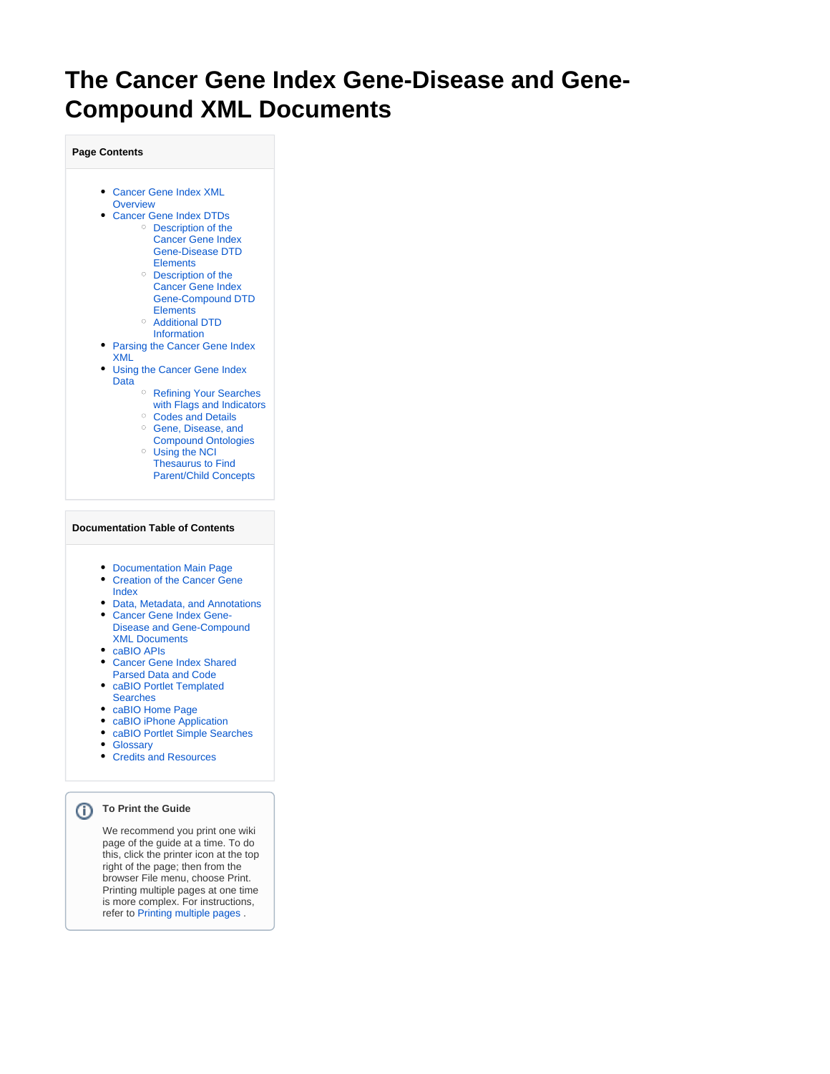# **The Cancer Gene Index Gene-Disease and Gene-Compound XML Documents**

**Page Contents**

- [Cancer Gene Index XML](#page-1-0)  **[Overview](#page-1-0)**
- [Cancer Gene Index DTDs](#page-1-1) [Description of the](#page-1-2)  [Cancer Gene Index](#page-1-2)  [Gene-Disease DTD](#page-1-2)  [Elements](#page-1-2)
	- [Description of the](#page-2-0)  [Cancer Gene Index](#page-2-0)  [Gene-Compound DTD](#page-2-0)  **[Elements](#page-2-0)**
	- [Additional DTD](#page-3-0)  **[Information](#page-3-0)**
- Parsing the Cancer Gene Index [XML](#page-4-0)
- [Using the Cancer Gene Index](#page-4-1)  [Data](#page-4-1)
	- <sup>o</sup> Refining Your Searches [with Flags and Indicators](#page-4-2) <sup>o</sup> [Codes and Details](#page-4-3)
	- <sup>o</sup> Gene, Disease, and [Compound Ontologies](#page-4-4)
	- [Using the NCI](#page-5-0)  [Thesaurus to Find](#page-5-0)
	- [Parent/Child Concepts](#page-5-0)

#### **Documentation Table of Contents**

- [Documentation Main Page](https://wiki.nci.nih.gov/x/hC5yAQ)
- Creation of the Cancer Gene [Index](https://wiki.nci.nih.gov/x/DS9yAQ)
- [Data, Metadata, and Annotations](https://wiki.nci.nih.gov/x/zC1yAQ)
- [Cancer Gene Index Gene-](https://wiki.nci.nih.gov/x/8i1yAQ)[Disease and Gene-Compound](https://wiki.nci.nih.gov/x/8i1yAQ)  [XML Documents](https://wiki.nci.nih.gov/x/8i1yAQ)
- [caBIO APIs](https://wiki.nci.nih.gov/x/7zByAQ)
- [Cancer Gene Index Shared](https://wiki.nci.nih.gov/x/hzJyAQ)  [Parsed Data and Code](https://wiki.nci.nih.gov/x/hzJyAQ)
- [caBIO Portlet Templated](https://wiki.nci.nih.gov/x/0C9yAQ)  **[Searches](https://wiki.nci.nih.gov/x/0C9yAQ)**
- [caBIO Home Page](https://wiki.nci.nih.gov/x/TTByAQ)
- [caBIO iPhone Application](https://wiki.nci.nih.gov/x/VDFyAQ)
- [caBIO Portlet Simple Searches](https://wiki.nci.nih.gov/x/-TByAQ)
- [Glossary](https://wiki.nci.nih.gov/x/si9yAQ)
- [Credits and Resources](https://wiki.nci.nih.gov/x/yS9yAQ)

#### **To Print the Guide**

We recommend you print one wiki page of the guide at a time. To do this, click the printer icon at the top right of the page; then from the browser File menu, choose Print. Printing multiple pages at one time is more complex. For instructions, refer to [Printing multiple pages](https://wiki.nci.nih.gov/display/WikiTrainFAQsTips/Exporting+Multiple+Pages+to+PDF) .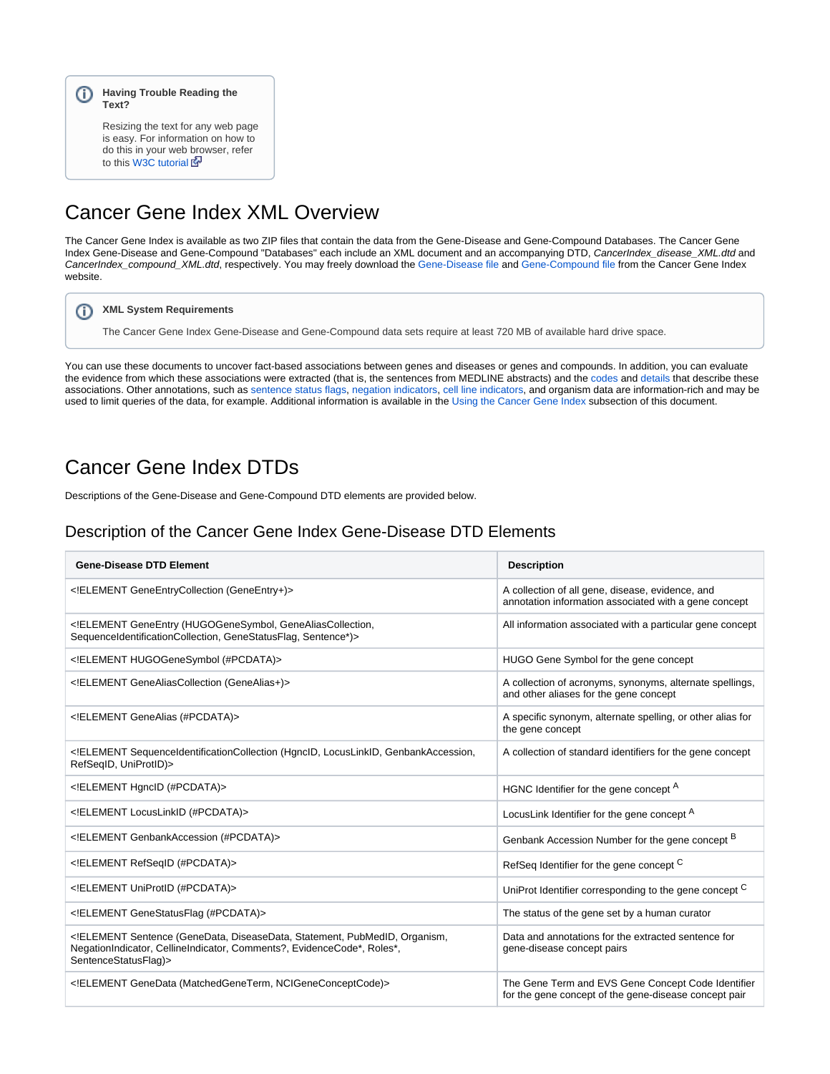#### **Having Trouble Reading the Text?**

Resizing the text for any web page is easy. For information on how to do this in your web browser, refer to this [W3C tutorial](http://www.w3.org/WAI/changedesign) E

# <span id="page-1-0"></span>Cancer Gene Index XML Overview

The Cancer Gene Index is available as two ZIP files that contain the data from the Gene-Disease and Gene-Compound Databases. The Cancer Gene Index Gene-Disease and Gene-Compound "Databases" each include an XML document and an accompanying DTD, CancerIndex\_disease\_XML.dtd and CancerIndex\_compound\_XML.dtd, respectively. You may freely download the [Gene-Disease file](https://github.com/cbiit/nci-docs-files/tree/master/files/trunk/cancergeneindex/cancergeneindex/CancerGeneIndex/NCI_CancerIndex_allphases_disease.zip) and [Gene-Compound file](https://github.com/cbiit/nci-docs-files/tree/master/files/trunk/cancergeneindex/cancergeneindex/CancerGeneIndex/NCI_CancerIndex_allphases_compound.zip) from the Cancer Gene Index website.

#### **XML System Requirements** ത

The Cancer Gene Index Gene-Disease and Gene-Compound data sets require at least 720 MB of available hard drive space.

You can use these documents to uncover fact-based associations between genes and diseases or genes and compounds. In addition, you can evaluate the evidence from which these associations were extracted (that is, the sentences from MEDLINE abstracts) and the [codes](https://wiki.nci.nih.gov/display/cageneindex/Data%2C+Metadata%2C+and+Annotations#Data,Metadata,andAnnotations-EvidenceCodes) and [details](https://wiki.nci.nih.gov/display/cageneindex/Data%2C+Metadata%2C+and+Annotations#Data,Metadata,andAnnotations-RoleDetails) that describe these associations. Other annotations, such as [sentence status flags,](https://wiki.nci.nih.gov/display/cageneindex/Data%2C+Metadata%2C+and+Annotations#Data,Metadata,andAnnotations-sentencestatusflags) [negation indicators,](https://wiki.nci.nih.gov/display/cageneindex/Data%2C+Metadata%2C+and+Annotations#Data,Metadata,andAnnotations-Indicators) [cell line indicators](https://wiki.nci.nih.gov/display/cageneindex/Data%2C+Metadata%2C+and+Annotations#Data,Metadata,andAnnotations-Indicators), and organism data are information-rich and may be used to limit queries of the data, for example. Additional information is available in the [Using the Cancer Gene Index](#page-4-5) subsection of this document.

## <span id="page-1-1"></span>Cancer Gene Index DTDs

Descriptions of the Gene-Disease and Gene-Compound DTD elements are provided below.

#### <span id="page-1-2"></span>Description of the Cancer Gene Index Gene-Disease DTD Elements

| <b>Gene-Disease DTD Element</b>                                                                                                                                           | <b>Description</b>                                                                                          |
|---------------------------------------------------------------------------------------------------------------------------------------------------------------------------|-------------------------------------------------------------------------------------------------------------|
| ELEMENT GeneEntryCollection (GeneEntry+)                                                                                                                                  | A collection of all gene, disease, evidence, and<br>annotation information associated with a gene concept   |
| ELEMENT GeneEntry (HUGOGeneSymbol, GeneAliasCollection,<br SequenceIdentificationCollection, GeneStatusFlag, Sentence*)>                                                  | All information associated with a particular gene concept                                                   |
| ELEMENT HUGOGeneSymbol (#PCDATA)                                                                                                                                          | HUGO Gene Symbol for the gene concept                                                                       |
| ELEMENT GeneAliasCollection (GeneAlias+)                                                                                                                                  | A collection of acronyms, synonyms, alternate spellings,<br>and other aliases for the gene concept          |
| ELEMENT GeneAlias (#PCDATA)                                                                                                                                               | A specific synonym, alternate spelling, or other alias for<br>the gene concept                              |
| ELEMENT SequenceIdentificationCollection (HgncID, LocusLinkID, GenbankAccession,<br RefSeqID, UniProtID)>                                                                 | A collection of standard identifiers for the gene concept                                                   |
| ELEMENT HgncID (#PCDATA)                                                                                                                                                  | HGNC Identifier for the gene concept <sup>A</sup>                                                           |
| ELEMENT LocusLinkID (#PCDATA)                                                                                                                                             | LocusLink Identifier for the gene concept <sup>A</sup>                                                      |
| ELEMENT GenbankAccession (#PCDATA)                                                                                                                                        | Genbank Accession Number for the gene concept B                                                             |
| ELEMENT RefSeqID (#PCDATA)                                                                                                                                                | RefSeq Identifier for the gene concept C                                                                    |
| ELEMENT UniProtID (#PCDATA)                                                                                                                                               | UniProt Identifier corresponding to the gene concept C                                                      |
| ELEMENT GeneStatusFlag (#PCDATA)                                                                                                                                          | The status of the gene set by a human curator                                                               |
| ELEMENT Sentence (GeneData, DiseaseData, Statement, PubMedID, Organism,<br NegationIndicator, CellineIndicator, Comments?, EvidenceCode*, Roles*,<br>SentenceStatusFlag)> | Data and annotations for the extracted sentence for<br>gene-disease concept pairs                           |
| ELEMENT GeneData (MatchedGeneTerm, NCIGeneConceptCode)                                                                                                                    | The Gene Term and EVS Gene Concept Code Identifier<br>for the gene concept of the gene-disease concept pair |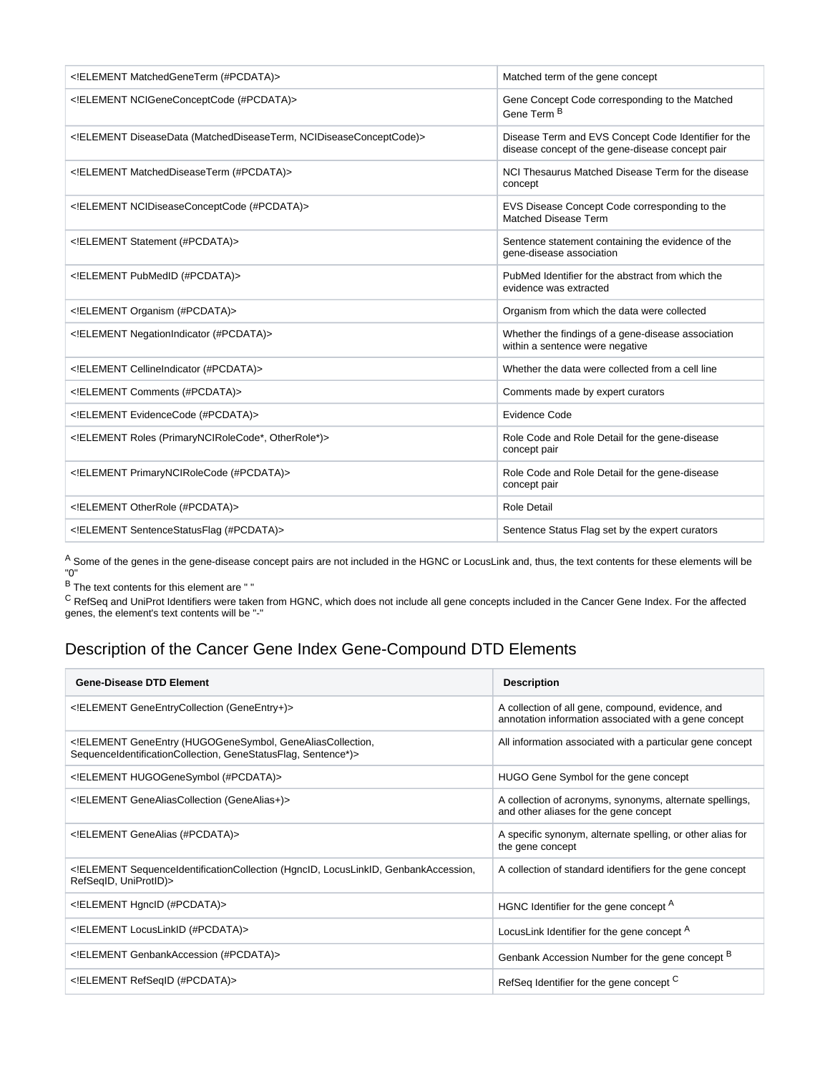| ELEMENT Matched Gene Term (#PCDATA)                             | Matched term of the gene concept                                                                         |
|-----------------------------------------------------------------|----------------------------------------------------------------------------------------------------------|
| ELEMENT NCIGeneConceptCode (#PCDATA)                            | Gene Concept Code corresponding to the Matched<br>Gene Term <sup>B</sup>                                 |
| ELEMENT DiseaseData (MatchedDiseaseTerm, NCIDiseaseConceptCode) | Disease Term and EVS Concept Code Identifier for the<br>disease concept of the gene-disease concept pair |
| ELEMENT Matched Disease Term (#PCDATA)                          | NCI Thesaurus Matched Disease Term for the disease<br>concept                                            |
| ELEMENT NCIDiseaseConceptCode (#PCDATA)                         | EVS Disease Concept Code corresponding to the<br>Matched Disease Term                                    |
| ELEMENT Statement (#PCDATA)                                     | Sentence statement containing the evidence of the<br>gene-disease association                            |
| ELEMENT PubMedID (#PCDATA)                                      | PubMed Identifier for the abstract from which the<br>evidence was extracted                              |
| ELEMENT Organism (#PCDATA)                                      | Organism from which the data were collected                                                              |
| ELEMENT NegationIndicator (#PCDATA)                             | Whether the findings of a gene-disease association<br>within a sentence were negative                    |
| ELEMENT CellineIndicator (#PCDATA)                              | Whether the data were collected from a cell line                                                         |
| ELEMENT Comments (#PCDATA)                                      | Comments made by expert curators                                                                         |
| ELEMENT EvidenceCode (#PCDATA)                                  | <b>Evidence Code</b>                                                                                     |
| ELEMENT Roles (PrimaryNCIRoleCode*, OtherRole*)                 | Role Code and Role Detail for the gene-disease<br>concept pair                                           |
| ELEMENT PrimaryNCIRoleCode (#PCDATA)                            | Role Code and Role Detail for the gene-disease<br>concept pair                                           |
| ELEMENT OtherRole (#PCDATA)                                     | <b>Role Detail</b>                                                                                       |
| ELEMENT Sentence Status Flag (#PCDATA)                          | Sentence Status Flag set by the expert curators                                                          |

<sup>A</sup> Some of the genes in the gene-disease concept pairs are not included in the HGNC or LocusLink and, thus, the text contents for these elements will be "0"

 $B$  The text contents for this element are " $"$ 

 $\rm c$  RefSeq and UniProt Identifiers were taken from HGNC, which does not include all gene concepts included in the Cancer Gene Index. For the affected genes, the element's text contents will be "-"

## <span id="page-2-0"></span>Description of the Cancer Gene Index Gene-Compound DTD Elements

| <b>Gene-Disease DTD Element</b>                                                                                          | <b>Description</b>                                                                                         |
|--------------------------------------------------------------------------------------------------------------------------|------------------------------------------------------------------------------------------------------------|
| ELEMENT GeneEntryCollection (GeneEntry+)                                                                                 | A collection of all gene, compound, evidence, and<br>annotation information associated with a gene concept |
| ELEMENT GeneEntry (HUGOGeneSymbol, GeneAliasCollection,<br SequenceIdentificationCollection, GeneStatusFlag, Sentence*)> | All information associated with a particular gene concept                                                  |
| ELEMENT HUGOGeneSymbol (#PCDATA)                                                                                         | HUGO Gene Symbol for the gene concept                                                                      |
| ELEMENT GeneAliasCollection (GeneAlias+)                                                                                 | A collection of acronyms, synonyms, alternate spellings,<br>and other aliases for the gene concept         |
| ELEMENT GeneAlias (#PCDATA)                                                                                              | A specific synonym, alternate spelling, or other alias for<br>the gene concept                             |
| ELEMENT SequenceIdentificationCollection (HgncID, LocusLinkID, GenbankAccession,<br RefSeqID, UniProtID)>                | A collection of standard identifiers for the gene concept                                                  |
| ELEMENT HgncID (#PCDATA)                                                                                                 | HGNC Identifier for the gene concept A                                                                     |
| ELEMENT LocusLinkID (#PCDATA)                                                                                            | LocusLink Identifier for the gene concept <sup>A</sup>                                                     |
| ELEMENT GenbankAccession (#PCDATA)                                                                                       | Genbank Accession Number for the gene concept B                                                            |
| ELEMENT RefSeqID (#PCDATA)                                                                                               | RefSeq Identifier for the gene concept C                                                                   |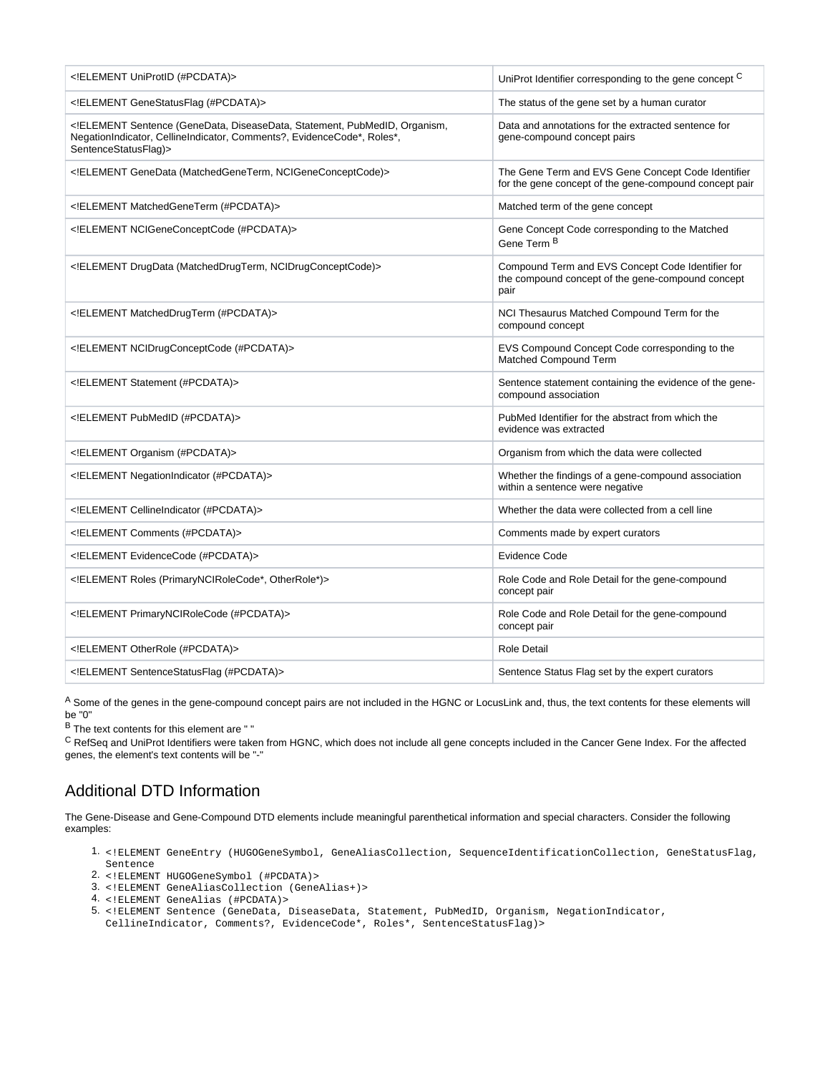| ELEMENT UniProtID (#PCDATA)                                                                                                                                               | UniProt Identifier corresponding to the gene concept C                                                         |
|---------------------------------------------------------------------------------------------------------------------------------------------------------------------------|----------------------------------------------------------------------------------------------------------------|
| ELEMENT GeneStatusFlag (#PCDATA)                                                                                                                                          | The status of the gene set by a human curator                                                                  |
| ELEMENT Sentence (GeneData, DiseaseData, Statement, PubMedID, Organism,<br NegationIndicator, CellineIndicator, Comments?, EvidenceCode*, Roles*,<br>SentenceStatusFlag)> | Data and annotations for the extracted sentence for<br>gene-compound concept pairs                             |
| ELEMENT GeneData (MatchedGeneTerm, NCIGeneConceptCode)                                                                                                                    | The Gene Term and EVS Gene Concept Code Identifier<br>for the gene concept of the gene-compound concept pair   |
| ELEMENT MatchedGeneTerm (#PCDATA)                                                                                                                                         | Matched term of the gene concept                                                                               |
| ELEMENT NCIGeneConceptCode (#PCDATA)                                                                                                                                      | Gene Concept Code corresponding to the Matched<br>Gene Term <sup>B</sup>                                       |
| ELEMENT DrugData (MatchedDrugTerm, NCIDrugConceptCode)                                                                                                                    | Compound Term and EVS Concept Code Identifier for<br>the compound concept of the gene-compound concept<br>pair |
| ELEMENT Matched Drug Term (#PCDATA)                                                                                                                                       | NCI Thesaurus Matched Compound Term for the<br>compound concept                                                |
| ELEMENT NCIDrugConceptCode (#PCDATA)                                                                                                                                      | EVS Compound Concept Code corresponding to the<br>Matched Compound Term                                        |
| ELEMENT Statement (#PCDATA)                                                                                                                                               | Sentence statement containing the evidence of the gene-<br>compound association                                |
| ELEMENT PubMedID (#PCDATA)                                                                                                                                                | PubMed Identifier for the abstract from which the<br>evidence was extracted                                    |
| ELEMENT Organism (#PCDATA)                                                                                                                                                | Organism from which the data were collected                                                                    |
| ELEMENT NegationIndicator (#PCDATA)                                                                                                                                       | Whether the findings of a gene-compound association<br>within a sentence were negative                         |
| ELEMENT CellineIndicator (#PCDATA)                                                                                                                                        | Whether the data were collected from a cell line                                                               |
| ELEMENT Comments (#PCDATA)                                                                                                                                                | Comments made by expert curators                                                                               |
| ELEMENT EvidenceCode (#PCDATA)                                                                                                                                            | <b>Evidence Code</b>                                                                                           |
| ELEMENT Roles (PrimaryNCIRoleCode*, OtherRole*)                                                                                                                           | Role Code and Role Detail for the gene-compound<br>concept pair                                                |
| ELEMENT PrimaryNCIRoleCode (#PCDATA)                                                                                                                                      | Role Code and Role Detail for the gene-compound<br>concept pair                                                |
| ELEMENT OtherRole (#PCDATA)                                                                                                                                               | <b>Role Detail</b>                                                                                             |
| ELEMENT Sentence Status Flag (#PCDATA)                                                                                                                                    | Sentence Status Flag set by the expert curators                                                                |

A Some of the genes in the gene-compound concept pairs are not included in the HGNC or LocusLink and, thus, the text contents for these elements will be "0"

 $B$  The text contents for this element are " $B$ 

 $C$  RefSeq and UniProt Identifiers were taken from HGNC, which does not include all gene concepts included in the Cancer Gene Index. For the affected genes, the element's text contents will be "-"

### <span id="page-3-0"></span>Additional DTD Information

The Gene-Disease and Gene-Compound DTD elements include meaningful parenthetical information and special characters. Consider the following examples:

- 1. <!ELEMENT GeneEntry (HUGOGeneSymbol, GeneAliasCollection, SequenceIdentificationCollection, GeneStatusFlag, Sentence
- 2. <!ELEMENT HUGOGeneSymbol (#PCDATA)>
- 3. <!ELEMENT GeneAliasCollection (GeneAlias+)>
- 4. <!ELEMENT GeneAlias (#PCDATA)>
- 5. <!ELEMENT Sentence (GeneData, DiseaseData, Statement, PubMedID, Organism, NegationIndicator, CellineIndicator, Comments?, EvidenceCode\*, Roles\*, SentenceStatusFlag)>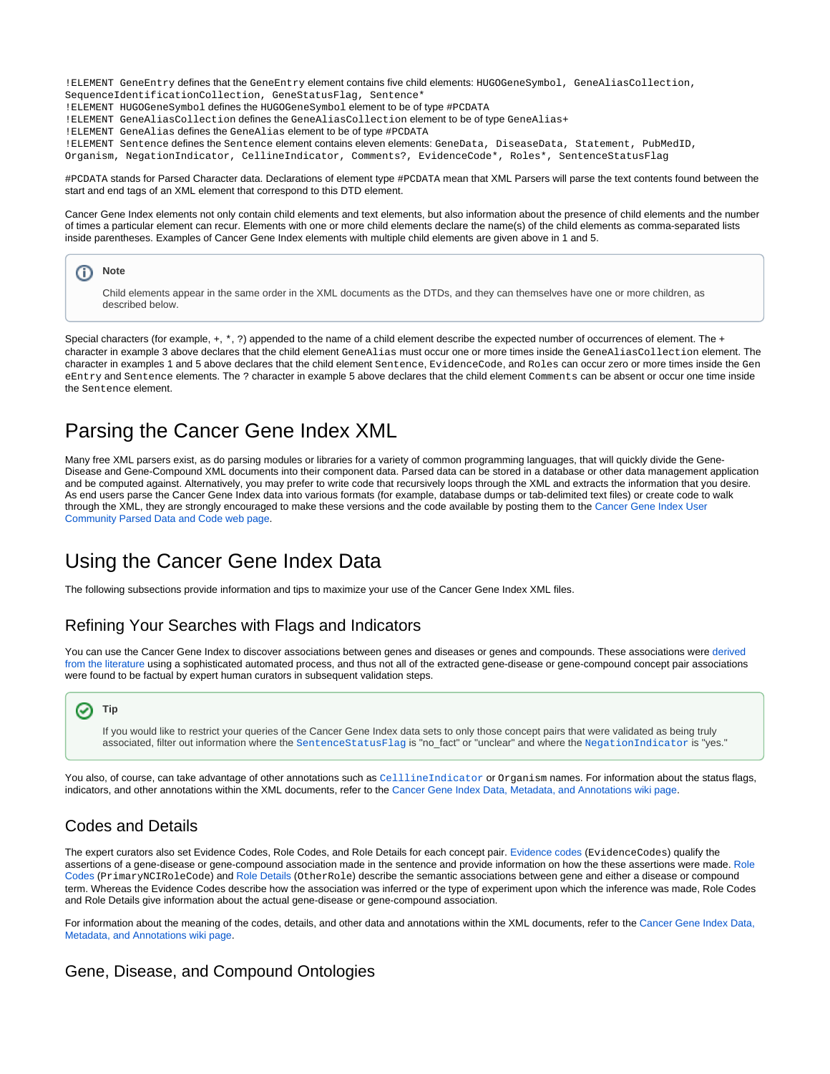!ELEMENT GeneEntry defines that the GeneEntry element contains five child elements: HUGOGeneSymbol, GeneAliasCollection, SequenceIdentificationCollection, GeneStatusFlag, Sentence\*

!ELEMENT HUGOGeneSymbol defines the HUGOGeneSymbol element to be of type #PCDATA

!ELEMENT GeneAliasCollection defines the GeneAliasCollection element to be of type GeneAlias+

- !ELEMENT GeneAlias defines the GeneAlias element to be of type #PCDATA
- !ELEMENT Sentence defines the Sentence element contains eleven elements: GeneData, DiseaseData, Statement, PubMedID,

Organism, NegationIndicator, CellineIndicator, Comments?, EvidenceCode\*, Roles\*, SentenceStatusFlag

#PCDATA stands for Parsed Character data. Declarations of element type #PCDATA mean that XML Parsers will parse the text contents found between the start and end tags of an XML element that correspond to this DTD element.

Cancer Gene Index elements not only contain child elements and text elements, but also information about the presence of child elements and the number of times a particular element can recur. Elements with one or more child elements declare the name(s) of the child elements as comma-separated lists inside parentheses. Examples of Cancer Gene Index elements with multiple child elements are given above in 1 and 5.



Special characters (for example,  $+, *, ?$ ) appended to the name of a child element describe the expected number of occurrences of element. The + character in example 3 above declares that the child element GeneAlias must occur one or more times inside the GeneAliasCollection element. The \* character in examples 1 and 5 above declares that the child element Sentence, EvidenceCode, and Roles can occur zero or more times inside the Gen eEntry and Sentence elements. The ? character in example 5 above declares that the child element Comments can be absent or occur one time inside the Sentence element.

## <span id="page-4-0"></span>Parsing the Cancer Gene Index XML

Many free XML parsers exist, as do parsing modules or libraries for a variety of common programming languages, that will quickly divide the Gene-Disease and Gene-Compound XML documents into their component data. Parsed data can be stored in a database or other data management application and be computed against. Alternatively, you may prefer to write code that recursively loops through the XML and extracts the information that you desire. As end users parse the Cancer Gene Index data into various formats (for example, database dumps or tab-delimited text files) or create code to walk through the XML, they are strongly encouraged to make these versions and the code available by posting them to the [Cancer Gene Index User](https://wiki.nci.nih.gov/display/cageneindex/Cancer+Gene+Index+User+Community+Parsed+Data+and+Code)  [Community Parsed Data and Code web page.](https://wiki.nci.nih.gov/display/cageneindex/Cancer+Gene+Index+User+Community+Parsed+Data+and+Code)

## <span id="page-4-5"></span><span id="page-4-1"></span>Using the Cancer Gene Index Data

The following subsections provide information and tips to maximize your use of the Cancer Gene Index XML files.

### <span id="page-4-2"></span>Refining Your Searches with Flags and Indicators

You can use the Cancer Gene Index to discover associations between genes and diseases or genes and compounds. These associations were derived [from the literature](https://wiki.nci.nih.gov/x/DS9yAQ) using a sophisticated automated process, and thus not all of the extracted gene-disease or gene-compound concept pair associations were found to be factual by expert human curators in subsequent validation steps.



If you would like to restrict your queries of the Cancer Gene Index data sets to only those concept pairs that were validated as being truly associated, filter out information where the [SentenceStatusFlag](https://wiki.nci.nih.gov/display/cageneindex/Data%2C+Metadata%2C+and+Annotations#Data,Metadata,andAnnotations-sentencestatusflags) is "no\_fact" or "unclear" and where the [NegationIndicator](https://wiki.nci.nih.gov/display/cageneindex/Data%2C+Metadata%2C+and+Annotations#Data,Metadata,andAnnotations-Indicators) is "yes."

You also, of course, can take advantage of other annotations such as [CelllineIndicator](https://wiki.nci.nih.gov/display/cageneindex/Data%2C+Metadata%2C+and+Annotations#Data,Metadata,andAnnotations-Indicators) or Organism names. For information about the status flags, indicators, and other annotations within the XML documents, refer to the [Cancer Gene Index Data, Metadata, and Annotations wiki page.](https://wiki.nci.nih.gov/x/zC1yAQ)

### <span id="page-4-3"></span>Codes and Details

The expert curators also set Evidence Codes, Role Codes, and Role Details for each concept pair. [Evidence codes](https://wiki.nci.nih.gov/display/cageneindex/Data%2C+Metadata%2C+and+Annotations#Data,Metadata,andAnnotations-EvidenceCodes) (EvidenceCodes) qualify the assertions of a gene-disease or gene-compound association made in the sentence and provide information on how the these assertions were made. [Role](https://wiki.nci.nih.gov/display/cageneindex/Data%2C+Metadata%2C+and+Annotations#Data,Metadata,andAnnotations-RoleCodes)  [Codes](https://wiki.nci.nih.gov/display/cageneindex/Data%2C+Metadata%2C+and+Annotations#Data,Metadata,andAnnotations-RoleCodes) (PrimaryNCIRoleCode) and [Role Details](https://wiki.nci.nih.gov/display/cageneindex/Data%2C+Metadata%2C+and+Annotations#Data,Metadata,andAnnotations-RoleDetails) (OtherRole) describe the semantic associations between gene and either a disease or compound term. Whereas the Evidence Codes describe how the association was inferred or the type of experiment upon which the inference was made, Role Codes and Role Details give information about the actual gene-disease or gene-compound association.

For information about the meaning of the codes, details, and other data and annotations within the XML documents, refer to the [Cancer Gene Index Data,](https://wiki.nci.nih.gov/x/zC1yAQ)  [Metadata, and Annotations wiki page](https://wiki.nci.nih.gov/x/zC1yAQ).

#### <span id="page-4-4"></span>Gene, Disease, and Compound Ontologies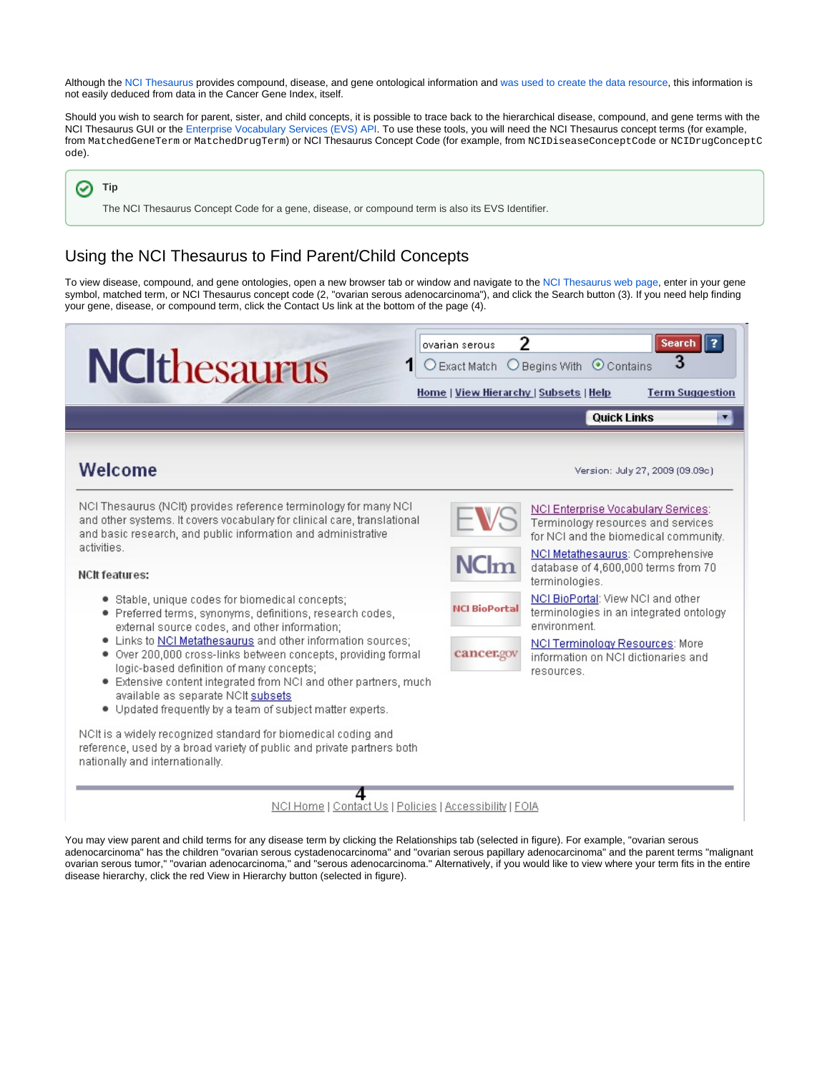Although the [NCI Thesaurus](http://nciterms.nci.nih.gov/) provides compound, disease, and gene ontological information and [was used to create the data resource,](https://wiki.nci.nih.gov/x/DS9yAQ) this information is not easily deduced from data in the Cancer Gene Index, itself.

Should you wish to search for parent, sister, and child concepts, it is possible to trace back to the hierarchical disease, compound, and gene terms with the NCI Thesaurus GUI or the [Enterprise Vocabulary Services \(EVS\) API](https://cabig.nci.nih.gov/concepts/EVS/). To use these tools, you will need the NCI Thesaurus concept terms (for example, from MatchedGeneTerm or MatchedDrugTerm) or NCI Thesaurus Concept Code (for example, from NCIDiseaseConceptCode or NCIDrugConceptC ode).

**Tip** の

The NCI Thesaurus Concept Code for a gene, disease, or compound term is also its EVS Identifier.

## <span id="page-5-0"></span>Using the NCI Thesaurus to Find Parent/Child Concepts

To view disease, compound, and gene ontologies, open a new browser tab or window and navigate to the [NCI Thesaurus web page,](http://nciterms.nci.nih.gov/) enter in your gene symbol, matched term, or NCI Thesaurus concept code (2, "ovarian serous adenocarcinoma"), and click the Search button (3). If you need help finding your gene, disease, or compound term, click the Contact Us link at the bottom of the page (4).

| <b>NCIthesaurus</b>                                                                                                                                                                                                                                                                                                                                                                                                                                                                                                                                                                                                                                                                                                                                                                                                                                                                                                                                      | ovarian serous<br>$\bigcirc$ Exact Match $\bigcirc$ Begins With | $\overline{2}$<br><b>Search</b><br>3<br>$\odot$ Contains<br>Home   View Hierarchy   Subsets   Help<br><b>Term Suggestion</b>                                                                                                                                                                                                                                                                            |
|----------------------------------------------------------------------------------------------------------------------------------------------------------------------------------------------------------------------------------------------------------------------------------------------------------------------------------------------------------------------------------------------------------------------------------------------------------------------------------------------------------------------------------------------------------------------------------------------------------------------------------------------------------------------------------------------------------------------------------------------------------------------------------------------------------------------------------------------------------------------------------------------------------------------------------------------------------|-----------------------------------------------------------------|---------------------------------------------------------------------------------------------------------------------------------------------------------------------------------------------------------------------------------------------------------------------------------------------------------------------------------------------------------------------------------------------------------|
|                                                                                                                                                                                                                                                                                                                                                                                                                                                                                                                                                                                                                                                                                                                                                                                                                                                                                                                                                          |                                                                 | <b>Quick Links</b><br>▼                                                                                                                                                                                                                                                                                                                                                                                 |
| Welcome                                                                                                                                                                                                                                                                                                                                                                                                                                                                                                                                                                                                                                                                                                                                                                                                                                                                                                                                                  |                                                                 | Version: July 27, 2009 (09.09c).                                                                                                                                                                                                                                                                                                                                                                        |
| NCI Thesaurus (NCII) provides reference terminology for many NCI<br>and other systems. It covers vocabulary for clinical care, translational<br>and basic research, and public information and administrative<br>activities.<br><b>NCIt features:</b><br>· Stable, unique codes for biomedical concepts;<br>· Preferred terms, synonyms, definitions, research codes,<br>external source codes, and other information;<br>. Links to NCI Metathesaurus and other information sources;<br>. Over 200,000 cross-links between concepts, providing formal<br>logic-based definition of many concepts;<br>. Extensive content integrated from NCI and other partners, much<br>available as separate NCIt subsets<br>. Updated frequently by a team of subject matter experts.<br>NCIt is a widely recognized standard for biomedical coding and<br>reference, used by a broad variety of public and private partners both<br>nationally and internationally. | NC <sub>lm</sub><br><b>NCI BioPortal</b><br>cancer.gov          | NCI Enterprise Vocabulary Services:<br>Terminology resources and services<br>for NCI and the biomedical community.<br>NCI Metathesaurus: Comprehensive<br>database of 4,600,000 terms from 70<br>terminologies.<br>NCI BioPortal: View NCI and other<br>terminologies in an integrated ontology<br>environment.<br>NCI Terminology Resources: More<br>information on NCI dictionaries and<br>resources. |
| NCI Home   Contact Us   Policies   Accessibility   FOIA                                                                                                                                                                                                                                                                                                                                                                                                                                                                                                                                                                                                                                                                                                                                                                                                                                                                                                  |                                                                 |                                                                                                                                                                                                                                                                                                                                                                                                         |

You may view parent and child terms for any disease term by clicking the Relationships tab (selected in figure). For example, "ovarian serous adenocarcinoma" has the children "ovarian serous cystadenocarcinoma" and "ovarian serous papillary adenocarcinoma" and the parent terms "malignant ovarian serous tumor," "ovarian adenocarcinoma," and "serous adenocarcinoma." Alternatively, if you would like to view where your term fits in the entire disease hierarchy, click the red View in Hierarchy button (selected in figure).